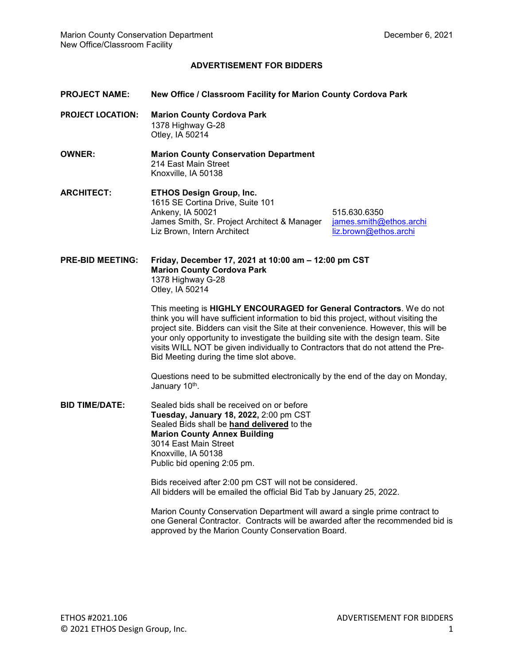## **ADVERTISEMENT FOR BIDDERS**

## **PROJECT NAME: New Office / Classroom Facility for Marion County Cordova Park**

- **PROJECT LOCATION: Marion County Cordova Park**  1378 Highway G-28 Otley, IA 50214
- **OWNER: Marion County Conservation Department**  214 East Main Street Knoxville, IA 50138
- **ARCHITECT: ETHOS Design Group, Inc.**  1615 SE Cortina Drive, Suite 101 Ankeny, IA 50021 515.630.6350 James Smith, Sr. Project Architect & Manager *james.smith@ethos.archi*<br>Liz Brown, Intern Architect **in the architect** liz.brown@ethos.archi

liz.brown@ethos.archi

**PRE-BID MEETING: Friday, December 17, 2021 at 10:00 am – 12:00 pm CST Marion County Cordova Park**  1378 Highway G-28 Otley, IA 50214

> This meeting is **HIGHLY ENCOURAGED for General Contractors**. We do not think you will have sufficient information to bid this project, without visiting the project site. Bidders can visit the Site at their convenience. However, this will be your only opportunity to investigate the building site with the design team. Site visits WILL NOT be given individually to Contractors that do not attend the Pre-Bid Meeting during the time slot above.

> Questions need to be submitted electronically by the end of the day on Monday, January 10<sup>th</sup>.

**BID TIME/DATE:** Sealed bids shall be received on or before **Tuesday, January 18, 2022,** 2:00 pm CST Sealed Bids shall be **hand delivered** to the **Marion County Annex Building**  3014 East Main Street Knoxville, IA 50138 Public bid opening 2:05 pm.

> Bids received after 2:00 pm CST will not be considered. All bidders will be emailed the official Bid Tab by January 25, 2022.

Marion County Conservation Department will award a single prime contract to one General Contractor. Contracts will be awarded after the recommended bid is approved by the Marion County Conservation Board.